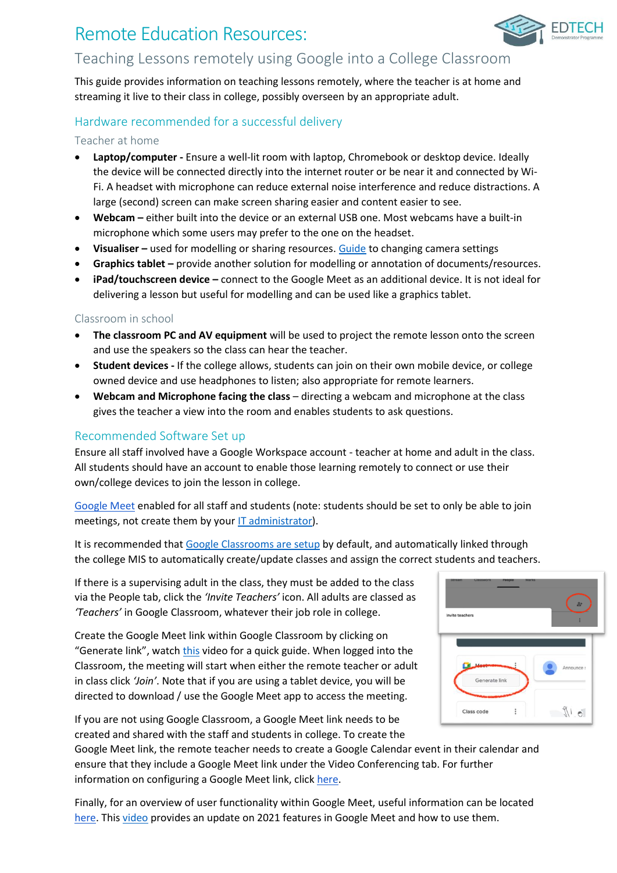# Remote Education Resources:



# Teaching Lessons remotely using Google into a College Classroom

This guide provides information on teaching lessons remotely, where the teacher is at home and streaming it live to their class in college, possibly overseen by an appropriate adult.

## Hardware recommended for a successful delivery

#### Teacher at home

- **Laptop/computer -** Ensure a well-lit room with laptop, Chromebook or desktop device. Ideally the device will be connected directly into the internet router or be near it and connected by Wi-Fi. A headset with microphone can reduce external noise interference and reduce distractions. A large (second) screen can make screen sharing easier and content easier to see.
- **Webcam –** either built into the device or an external USB one. Most webcams have a built-in microphone which some users may prefer to the one on the headset.
- **Visualiser –** used for modelling or sharing resources. [Guide](https://support.google.com/meet/answer/9302964?hl=en&co=GENIE.Platform=Desktop) to changing camera settings
- **Graphics tablet –** provide another solution for modelling or annotation of documents/resources.
- **iPad/touchscreen device –** connect to the Google Meet as an additional device. It is not ideal for delivering a lesson but useful for modelling and can be used like a graphics tablet.

### Classroom in school

- **The classroom PC and AV equipment** will be used to project the remote lesson onto the screen and use the speakers so the class can hear the teacher.
- **Student devices -** If the college allows, students can join on their own mobile device, or college owned device and use headphones to listen; also appropriate for remote learners.
- **Webcam and Microphone facing the class** directing a webcam and microphone at the class gives the teacher a view into the room and enables students to ask questions.

### Recommended Software Set up

Ensure all staff involved have a Google Workspace account - teacher at home and adult in the class. All students should have an account to enable those learning remotely to connect or use their own/college devices to join the lesson in college.

[Google Meet](https://support.google.com/a/answer/9493952?hl=en&ref_topic=7302334) enabled for all staff and students (note: students should be set to only be able to join meetings, not create them by your [IT administrator\)](https://support.google.com/a/answer/7304109#safety).

It is recommended that [Google Classrooms are setup](https://support.google.com/a/topic/6039552?hl=en&ref_topic=9854636) by default, and automatically linked through the college MIS to automatically create/update classes and assign the correct students and teachers.

If there is a supervising adult in the class, they must be added to the class via the People tab, click the *'Invite Teachers'* icon. All adults are classed as *'Teachers'* in Google Classroom, whatever their job role in college.

Create the Google Meet link within Google Classroom by clicking on "Generate link", watch [this](https://www.youtube.com/watch?v=71BAeZZvDKs) video for a quick guide. When logged into the Classroom, the meeting will start when either the remote teacher or adult in class click *'Join'*. Note that if you are using a tablet device, you will be directed to download / use the Google Meet app to access the meeting.



If you are not using Google Classroom, a Google Meet link needs to be created and shared with the staff and students in college. To create the

Google Meet link, the remote teacher needs to create a Google Calendar event in their calendar and ensure that they include a Google Meet link under the Video Conferencing tab. For further information on configuring a Google Meet link, click [here.](https://support.google.com/a/users/answer/9300131?hl=en)

Finally, for an overview of user functionality within Google Meet, useful information can be located [here.](https://support.google.com/a/users/answer/9300131?hl=en) This [video](https://www.youtube.com/watch?v=dW9veTq7nZc) provides an update on 2021 features in Google Meet and how to use them.